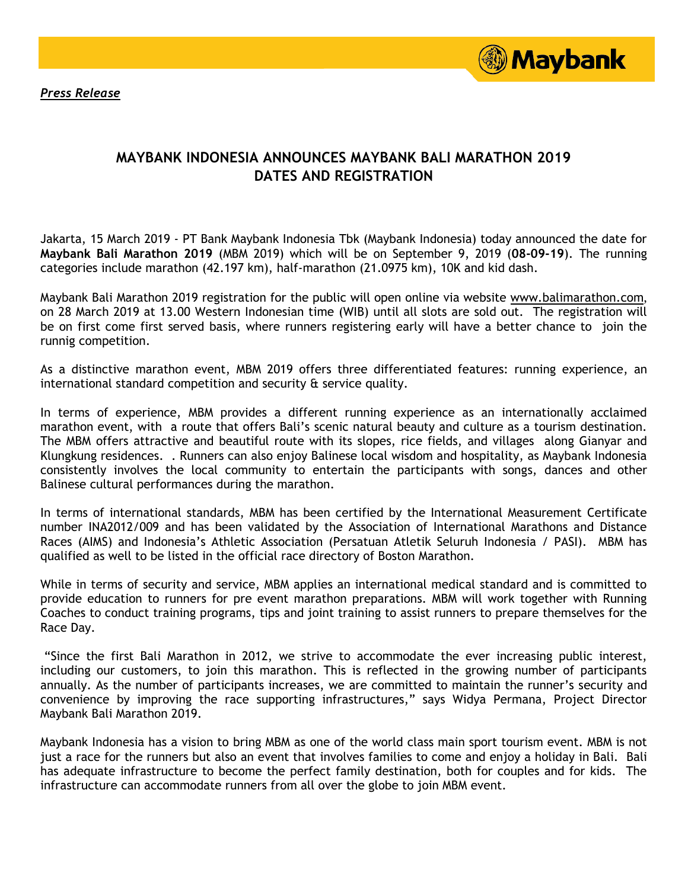*Press Release*



## **MAYBANK INDONESIA ANNOUNCES MAYBANK BALI MARATHON 2019 DATES AND REGISTRATION**

Jakarta, 15 March 2019 - PT Bank Maybank Indonesia Tbk (Maybank Indonesia) today announced the date for **Maybank Bali Marathon 2019** (MBM 2019) which will be on September 9, 2019 (**08-09-19**). The running categories include marathon (42.197 km), half-marathon (21.0975 km), 10K and kid dash.

Maybank Bali Marathon 2019 registration for the public will open online via website [www.balimarathon.com](http://www.balimarathon.com/), on 28 March 2019 at 13.00 Western Indonesian time (WIB) until all slots are sold out. The registration will be on first come first served basis, where runners registering early will have a better chance to join the runnig competition.

As a distinctive marathon event, MBM 2019 offers three differentiated features: running experience, an international standard competition and security & service quality.

In terms of experience, MBM provides a different running experience as an internationally acclaimed marathon event, with a route that offers Bali's scenic natural beauty and culture as a tourism destination. The MBM offers attractive and beautiful route with its slopes, rice fields, and villages along Gianyar and Klungkung residences. . Runners can also enjoy Balinese local wisdom and hospitality, as Maybank Indonesia consistently involves the local community to entertain the participants with songs, dances and other Balinese cultural performances during the marathon.

In terms of international standards, MBM has been certified by the International Measurement Certificate number INA2012/009 and has been validated by the Association of International Marathons and Distance Races (AIMS) and Indonesia's Athletic Association (Persatuan Atletik Seluruh Indonesia / PASI). MBM has qualified as well to be listed in the official race directory of Boston Marathon.

While in terms of security and service, MBM applies an international medical standard and is committed to provide education to runners for pre event marathon preparations. MBM will work together with Running Coaches to conduct training programs, tips and joint training to assist runners to prepare themselves for the Race Day.

"Since the first Bali Marathon in 2012, we strive to accommodate the ever increasing public interest, including our customers, to join this marathon. This is reflected in the growing number of participants annually. As the number of participants increases, we are committed to maintain the runner's security and convenience by improving the race supporting infrastructures," says Widya Permana, Project Director Maybank Bali Marathon 2019.

Maybank Indonesia has a vision to bring MBM as one of the world class main sport tourism event. MBM is not just a race for the runners but also an event that involves families to come and enjoy a holiday in Bali. Bali has adequate infrastructure to become the perfect family destination, both for couples and for kids. The infrastructure can accommodate runners from all over the globe to join MBM event.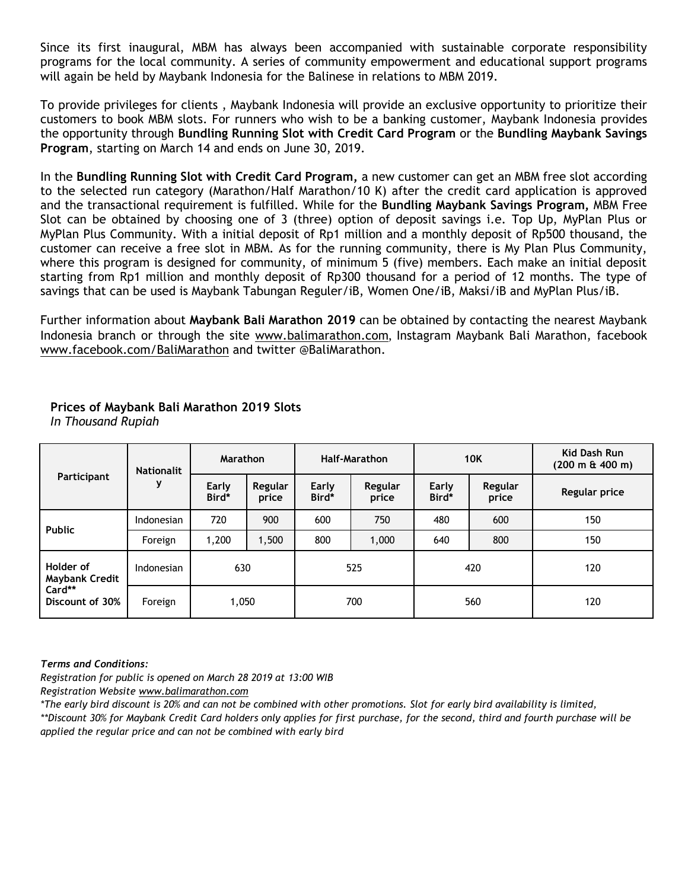Since its first inaugural, MBM has always been accompanied with sustainable corporate responsibility programs for the local community. A series of community empowerment and educational support programs will again be held by Maybank Indonesia for the Balinese in relations to MBM 2019.

To provide privileges for clients , Maybank Indonesia will provide an exclusive opportunity to prioritize their customers to book MBM slots. For runners who wish to be a banking customer, Maybank Indonesia provides the opportunity through **Bundling Running Slot with Credit Card Program** or the **Bundling Maybank Savings Program**, starting on March 14 and ends on June 30, 2019.

In the **Bundling Running Slot with Credit Card Program,** a new customer can get an MBM free slot according to the selected run category (Marathon/Half Marathon/10 K) after the credit card application is approved and the transactional requirement is fulfilled. While for the **Bundling Maybank Savings Program,** MBM Free Slot can be obtained by choosing one of 3 (three) option of deposit savings i.e. Top Up, MyPlan Plus or MyPlan Plus Community. With a initial deposit of Rp1 million and a monthly deposit of Rp500 thousand, the customer can receive a free slot in MBM. As for the running community, there is My Plan Plus Community, where this program is designed for community, of minimum 5 (five) members. Each make an initial deposit starting from Rp1 million and monthly deposit of Rp300 thousand for a period of 12 months. The type of savings that can be used is Maybank Tabungan Reguler/iB, Women One/iB, Maksi/iB and MyPlan Plus/iB.

Further information about **Maybank Bali Marathon 2019** can be obtained by contacting the nearest Maybank Indonesia branch or through the site [www.balimarathon.com](http://www.balimarathon.com/), Instagram Maybank Bali Marathon, facebook [www.facebook.com/BaliMarathon](http://www.facebook.com/BaliMarathon) and twitter @BaliMarathon.

| Participant                                                     | <b>Nationalit</b><br>y | <b>Marathon</b> |                  | <b>Half-Marathon</b> |                  | <b>10K</b>     |                  | Kid Dash Run<br>(200 m & 400 m) |
|-----------------------------------------------------------------|------------------------|-----------------|------------------|----------------------|------------------|----------------|------------------|---------------------------------|
|                                                                 |                        | Early<br>Bird*  | Regular<br>price | Early<br>Bird*       | Regular<br>price | Early<br>Bird* | Regular<br>price | Regular price                   |
| <b>Public</b>                                                   | Indonesian             | 720             | 900              | 600                  | 750              | 480            | 600              | 150                             |
|                                                                 | Foreign                | 1,200           | 1,500            | 800                  | 1,000            | 640            | 800              | 150                             |
| Holder of<br><b>Maybank Credit</b><br>Card**<br>Discount of 30% | Indonesian             | 630             |                  | 525                  |                  | 420            |                  | 120                             |
|                                                                 | Foreign                | 1,050           |                  | 700                  |                  | 560            |                  | 120                             |

### **Prices of Maybank Bali Marathon 2019 Slots**  *In Thousand Rupiah*

*Terms and Conditions:*

*Registration for public is opened on March 28 2019 at 13:00 WIB*

*Registration Website [www.balimarathon.com](http://www.balimarathon.com/)* 

*\*The early bird discount is 20% and can not be combined with other promotions. Slot for early bird availability is limited, \*\*Discount 30% for Maybank Credit Card holders only applies for first purchase, for the second, third and fourth purchase will be applied the regular price and can not be combined with early bird*